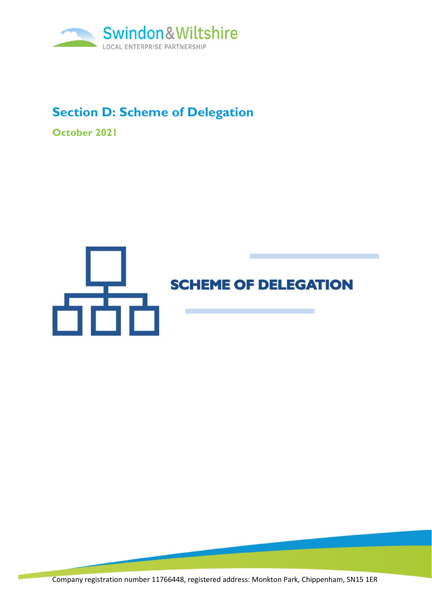

# **Section D: Scheme of Delegation**

**October 2021**

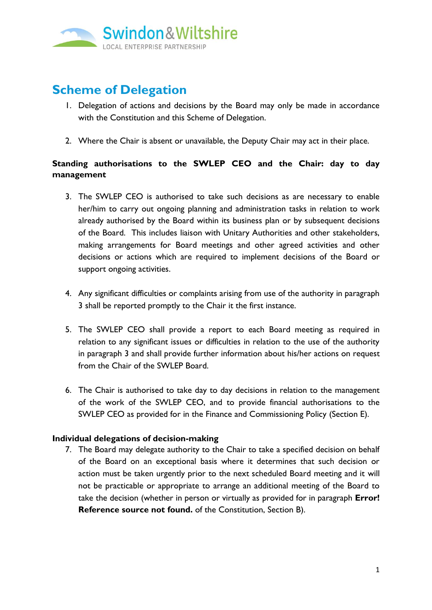

## **Scheme of Delegation**

- 1. Delegation of actions and decisions by the Board may only be made in accordance with the Constitution and this Scheme of Delegation.
- 2. Where the Chair is absent or unavailable, the Deputy Chair may act in their place.

### **Standing authorisations to the SWLEP CEO and the Chair: day to day management**

- 3. The SWLEP CEO is authorised to take such decisions as are necessary to enable her/him to carry out ongoing planning and administration tasks in relation to work already authorised by the Board within its business plan or by subsequent decisions of the Board. This includes liaison with Unitary Authorities and other stakeholders, making arrangements for Board meetings and other agreed activities and other decisions or actions which are required to implement decisions of the Board or support ongoing activities.
- 4. Any significant difficulties or complaints arising from use of the authority in paragraph 3 shall be reported promptly to the Chair it the first instance.
- 5. The SWLEP CEO shall provide a report to each Board meeting as required in relation to any significant issues or difficulties in relation to the use of the authority in paragraph 3 and shall provide further information about his/her actions on request from the Chair of the SWLEP Board.
- 6. The Chair is authorised to take day to day decisions in relation to the management of the work of the SWLEP CEO, and to provide financial authorisations to the SWLEP CEO as provided for in the Finance and Commissioning Policy (Section E).

### **Individual delegations of decision-making**

7. The Board may delegate authority to the Chair to take a specified decision on behalf of the Board on an exceptional basis where it determines that such decision or action must be taken urgently prior to the next scheduled Board meeting and it will not be practicable or appropriate to arrange an additional meeting of the Board to take the decision (whether in person or virtually as provided for in paragraph **Error! Reference source not found.** of the Constitution, Section B).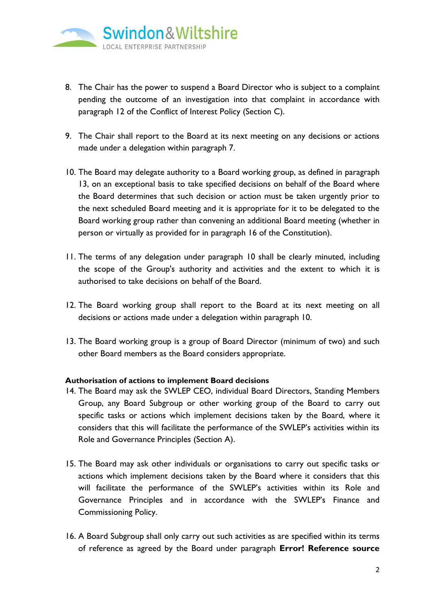

- 8. The Chair has the power to suspend a Board Director who is subject to a complaint pending the outcome of an investigation into that complaint in accordance with paragraph 12 of the Conflict of Interest Policy (Section C).
- 9. The Chair shall report to the Board at its next meeting on any decisions or actions made under a delegation within paragraph 7.
- <span id="page-2-0"></span>10. The Board may delegate authority to a Board working group, as defined in paragraph 13, on an exceptional basis to take specified decisions on behalf of the Board where the Board determines that such decision or action must be taken urgently prior to the next scheduled Board meeting and it is appropriate for it to be delegated to the Board working group rather than convening an additional Board meeting (whether in person or virtually as provided for in paragraph 16 of the Constitution).
- 11. The terms of any delegation under paragraph [10](#page-2-0) shall be clearly minuted, including the scope of the Group's authority and activities and the extent to which it is authorised to take decisions on behalf of the Board.
- 12. The Board working group shall report to the Board at its next meeting on all decisions or actions made under a delegation within paragraph 10.
- 13. The Board working group is a group of Board Director (minimum of two) and such other Board members as the Board considers appropriate.

#### **Authorisation of actions to implement Board decisions**

- <span id="page-2-1"></span>14. The Board may ask the SWLEP CEO, individual Board Directors, Standing Members Group, any Board Subgroup or other working group of the Board to carry out specific tasks or actions which implement decisions taken by the Board, where it considers that this will facilitate the performance of the SWLEP's activities within its Role and Governance Principles (Section A).
- <span id="page-2-2"></span>15. The Board may ask other individuals or organisations to carry out specific tasks or actions which implement decisions taken by the Board where it considers that this will facilitate the performance of the SWLEP's activities within its Role and Governance Principles and in accordance with the SWLEP's Finance and Commissioning Policy.
- 16. A Board Subgroup shall only carry out such activities as are specified within its terms of reference as agreed by the Board under paragraph **Error! Reference source**